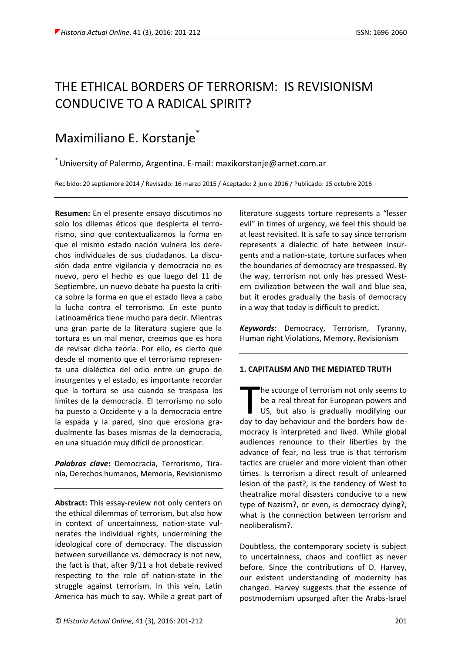# THE ETHICAL BORDERS OF TERRORISM: IS REVISIONISM CONDUCIVE TO A RADICAL SPIRIT?

# Maximiliano E. Korstanje

\* University of Palermo, Argentina. E-mail: maxikorstanje@arnet.com.ar

Recibido: 20 septiembre 2014 / Revisado: 16 marzo 2015 / Aceptado: 2 junio 2016 / Publicado: 15 octubre 2016

**Resumen:** En el presente ensayo discutimos no solo los dilemas éticos que despierta el terrorismo, sino que contextualizamos la forma en que el mismo estado nación vulnera los derechos individuales de sus ciudadanos. La discusión dada entre vigilancia y democracia no es nuevo, pero el hecho es que luego del 11 de Septiembre, un nuevo debate ha puesto la crítica sobre la forma en que el estado lleva a cabo la lucha contra el terrorismo. En este punto Latinoamérica tiene mucho para decir. Mientras una gran parte de la literatura sugiere que la tortura es un mal menor, creemos que es hora de revisar dicha teoría. Por ello, es cierto que desde el momento que el terrorismo representa una dialéctica del odio entre un grupo de insurgentes y el estado, es importante recordar que la tortura se usa cuando se traspasa los límites de la democracia. El terrorismo no solo ha puesto a Occidente y a la democracia entre la espada y la pared, sino que erosiona gradualmente las bases mismas de la democracia, en una situación muy difícil de pronosticar.

*Palabras clave***:** Democracia, Terrorismo, Tiranía, Derechos humanos, Memoria, Revisionismo

**Abstract:** This essay-review not only centers on the ethical dilemmas of terrorism, but also how in context of uncertainness, nation-state vulnerates the individual rights, undermining the ideological core of democracy. The discussion between surveillance vs. democracy is not new, the fact is that, after 9/11 a hot debate revived respecting to the role of nation-state in the struggle against terrorism. In this vein, Latin America has much to say. While a great part of literature suggests torture represents a "lesser evil" in times of urgency, we feel this should be at least revisited. It is safe to say since terrorism represents a dialectic of hate between insurgents and a nation-state, torture surfaces when the boundaries of democracy are trespassed. By the way, terrorism not only has pressed Western civilization between the wall and blue sea, but it erodes gradually the basis of democracy in a way that today is difficult to predict.

*Keywords***:** Democracy, Terrorism, Tyranny, Human right Violations, Memory, Revisionism

### **1. CAPITALISM AND THE MEDIATED TRUTH**

he scourge of terrorism not only seems to be a real threat for European powers and US, but also is gradually modifying our The scourge of terrorism not only seems to<br>be a real threat for European powers and<br>US, but also is gradually modifying our<br>day to day behaviour and the borders how democracy is interpreted and lived. While global audiences renounce to their liberties by the advance of fear, no less true is that terrorism tactics are crueler and more violent than other times. Is terrorism a direct result of unlearned lesion of the past?, is the tendency of West to theatralize moral disasters conducive to a new type of Nazism?, or even, is democracy dying?, what is the connection between terrorism and neoliberalism?.

Doubtless, the contemporary society is subject to uncertainness, chaos and conflict as never before. Since the contributions of D. Harvey, our existent understanding of modernity has changed. Harvey suggests that the essence of postmodernism upsurged after the Arabs-Israel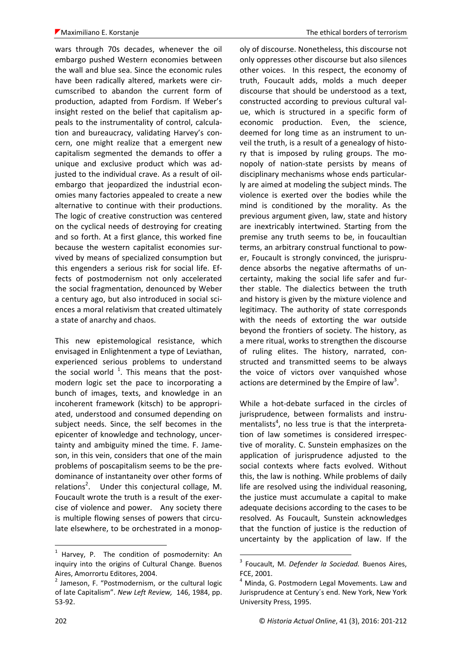wars through 70s decades, whenever the oil embargo pushed Western economies between the wall and blue sea. Since the economic rules have been radically altered, markets were circumscribed to abandon the current form of production, adapted from Fordism. If Weber's insight rested on the belief that capitalism appeals to the instrumentality of control, calculation and bureaucracy, validating Harvey's concern, one might realize that a emergent new capitalism segmented the demands to offer a unique and exclusive product which was adjusted to the individual crave. As a result of oilembargo that jeopardized the industrial economies many factories appealed to create a new alternative to continue with their productions. The logic of creative construction was centered on the cyclical needs of destroying for creating and so forth. At a first glance, this worked fine because the western capitalist economies survived by means of specialized consumption but this engenders a serious risk for social life. Effects of postmodernism not only accelerated the social fragmentation, denounced by Weber a century ago, but also introduced in social sciences a moral relativism that created ultimately a state of anarchy and chaos.

This new epistemological resistance, which envisaged in Enlightenment a type of Leviathan, experienced serious problems to understand the social world  $^1$ . This means that the postmodern logic set the pace to incorporating a bunch of images, texts, and knowledge in an incoherent framework (kitsch) to be appropriated, understood and consumed depending on subject needs. Since, the self becomes in the epicenter of knowledge and technology, uncertainty and ambiguity mined the time. F. Jameson, in this vein, considers that one of the main problems of poscapitalism seems to be the predominance of instantaneity over other forms of relations<sup>2</sup>. Under this conjectural collage, M. Foucault wrote the truth is a result of the exercise of violence and power. Any society there is multiple flowing senses of powers that circulate elsewhere, to be orchestrated in a monop-

oly of discourse. Nonetheless, this discourse not only oppresses other discourse but also silences other voices. In this respect, the economy of truth, Foucault adds, molds a much deeper discourse that should be understood as a text, constructed according to previous cultural value, which is structured in a specific form of economic production. Even, the science, deemed for long time as an instrument to unveil the truth, is a result of a genealogy of history that is imposed by ruling groups. The monopoly of nation-state persists by means of disciplinary mechanisms whose ends particularly are aimed at modeling the subject minds. The violence is exerted over the bodies while the mind is conditioned by the morality. As the previous argument given, law, state and history are inextricably intertwined. Starting from the premise any truth seems to be, in foucaultian terms, an arbitrary construal functional to power, Foucault is strongly convinced, the jurisprudence absorbs the negative aftermaths of uncertainty, making the social life safer and further stable. The dialectics between the truth and history is given by the mixture violence and legitimacy. The authority of state corresponds with the needs of extorting the war outside beyond the frontiers of society. The history, as a mere ritual, works to strengthen the discourse of ruling elites. The history, narrated, constructed and transmitted seems to be always the voice of victors over vanquished whose actions are determined by the Empire of law<sup>3</sup>.

While a hot-debate surfaced in the circles of jurisprudence, between formalists and instrumentalists<sup>4</sup>, no less true is that the interpretation of law sometimes is considered irrespective of morality. C. Sunstein emphasizes on the application of jurisprudence adjusted to the social contexts where facts evolved. Without this, the law is nothing. While problems of daily life are resolved using the individual reasoning, the justice must accumulate a capital to make adequate decisions according to the cases to be resolved. As Foucault, Sunstein acknowledges that the function of justice is the reduction of uncertainty by the application of law. If the

1

<sup>&</sup>lt;sup>1</sup> Harvey, P. The condition of posmodernity: An inquiry into the origins of Cultural Change. Buenos Aires, Amorrortu Editores, 2004.

<sup>&</sup>lt;sup>2</sup> Jameson, F. "Postmodernism, or the cultural logic of late Capitalism". *New Left Review,* 146, 1984, pp. 53-92.

<sup>3</sup> Foucault, M. *Defender la Sociedad.* Buenos Aires, FCE, 2001.

 $4$  Minda, G. Postmodern Legal Movements. Law and Jurisprudence at Century´s end. New York, New York University Press, 1995.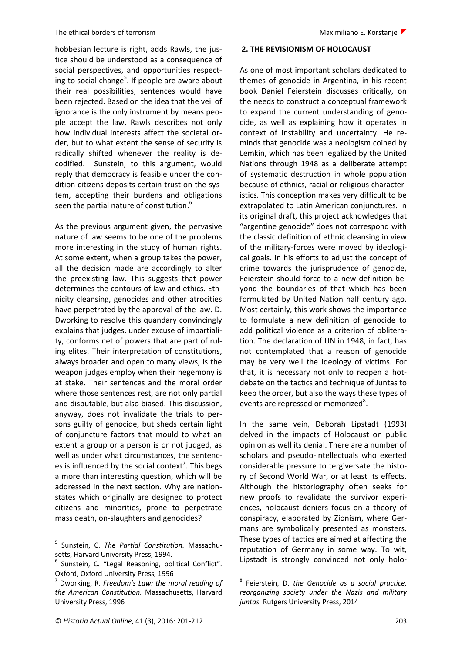hobbesian lecture is right, adds Rawls, the justice should be understood as a consequence of social perspectives, and opportunities respecting to social change<sup>5</sup>. If people are aware about their real possibilities, sentences would have been rejected. Based on the idea that the veil of ignorance is the only instrument by means people accept the law, Rawls describes not only how individual interests affect the societal order, but to what extent the sense of security is radically shifted whenever the reality is decodified. Sunstein, to this argument, would reply that democracy is feasible under the condition citizens deposits certain trust on the system, accepting their burdens and obligations seen the partial nature of constitution.<sup>6</sup>

As the previous argument given, the pervasive nature of law seems to be one of the problems more interesting in the study of human rights. At some extent, when a group takes the power, all the decision made are accordingly to alter the preexisting law. This suggests that power determines the contours of law and ethics. Ethnicity cleansing, genocides and other atrocities have perpetrated by the approval of the law. D. Dworking to resolve this quandary convincingly explains that judges, under excuse of impartiality, conforms net of powers that are part of ruling elites. Their interpretation of constitutions, always broader and open to many views, is the weapon judges employ when their hegemony is at stake. Their sentences and the moral order where those sentences rest, are not only partial and disputable, but also biased. This discussion, anyway, does not invalidate the trials to persons guilty of genocide, but sheds certain light of conjuncture factors that mould to what an extent a group or a person is or not judged, as well as under what circumstances, the sentences is influenced by the social context<sup>7</sup>. This begs a more than interesting question, which will be addressed in the next section. Why are nationstates which originally are designed to protect citizens and minorities, prone to perpetrate mass death, on-slaughters and genocides?

### **2. THE REVISIONISM OF HOLOCAUST**

As one of most important scholars dedicated to themes of genocide in Argentina, in his recent book Daniel Feierstein discusses critically, on the needs to construct a conceptual framework to expand the current understanding of genocide, as well as explaining how it operates in context of instability and uncertainty. He reminds that genocide was a neologism coined by Lemkin, which has been legalized by the United Nations through 1948 as a deliberate attempt of systematic destruction in whole population because of ethnics, racial or religious characteristics. This conception makes very difficult to be extrapolated to Latin American conjunctures. In its original draft, this project acknowledges that "argentine genocide" does not correspond with the classic definition of ethnic cleansing in view of the military-forces were moved by ideological goals. In his efforts to adjust the concept of crime towards the jurisprudence of genocide, Feierstein should force to a new definition beyond the boundaries of that which has been formulated by United Nation half century ago. Most certainly, this work shows the importance to formulate a new definition of genocide to add political violence as a criterion of obliteration. The declaration of UN in 1948, in fact, has not contemplated that a reason of genocide may be very well the ideology of victims. For that, it is necessary not only to reopen a hotdebate on the tactics and technique of Juntas to keep the order, but also the ways these types of events are repressed or memorized<sup>8</sup>.

In the same vein, Deborah Lipstadt (1993) delved in the impacts of Holocaust on public opinion as well its denial. There are a number of scholars and pseudo-intellectuals who exerted considerable pressure to tergiversate the history of Second World War, or at least its effects. Although the historiography often seeks for new proofs to revalidate the survivor experiences, holocaust deniers focus on a theory of conspiracy, elaborated by Zionism, where Germans are symbolically presented as monsters. These types of tactics are aimed at affecting the reputation of Germany in some way. To wit, Lipstadt is strongly convinced not only holo-

 5 Sunstein, C. *The Partial Constitution.* Massachusetts, Harvard University Press, 1994.

<sup>&</sup>lt;sup>6</sup> Sunstein, C. "Legal Reasoning, political Conflict". Oxford, Oxford University Press, 1996

<sup>7</sup> Dworking, R. *Freedom's Law: the moral reading of the American Constitution.* Massachusetts, Harvard University Press, 1996

<sup>8</sup> Feierstein, D. *the Genocide as a social practice, reorganizing society under the Nazis and military juntas.* Rutgers University Press, 2014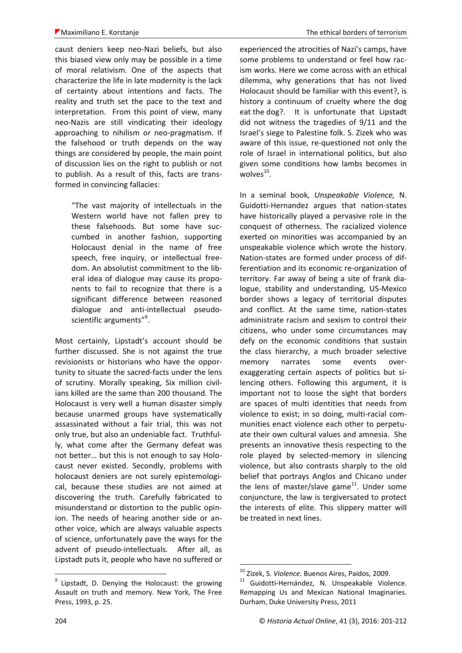caust deniers keep neo-Nazi beliefs, but also this biased view only may be possible in a time of moral relativism. One of the aspects that characterize the life in late modernity is the lack of certainty about intentions and facts. The reality and truth set the pace to the text and interpretation. From this point of view, many neo-Nazis are still vindicating their ideology approaching to nihilism or neo-pragmatism. If the falsehood or truth depends on the way things are considered by people, the main point of discussion lies on the right to publish or not to publish. As a result of this, facts are transformed in convincing fallacies:

"The vast majority of intellectuals in the Western world have not fallen prey to these falsehoods. But some have succumbed in another fashion, supporting Holocaust denial in the name of free speech, free inquiry, or intellectual freedom. An absolutist commitment to the liberal idea of dialogue may cause its proponents to fail to recognize that there is a significant difference between reasoned dialogue and anti-intellectual pseudoscientific arguments"<sup>9</sup>.

Most certainly, Lipstadt's account should be further discussed. She is not against the true revisionists or historians who have the opportunity to situate the sacred-facts under the lens of scrutiny. Morally speaking, Six million civilians killed are the same than 200 thousand. The Holocaust is very well a human disaster simply because unarmed groups have systematically assassinated without a fair trial, this was not only true, but also an undeniable fact. Truthfully, what come after the Germany defeat was not better… but this is not enough to say Holocaust never existed. Secondly, problems with holocaust deniers are not surely epistemological, because these studies are not aimed at discovering the truth. Carefully fabricated to misunderstand or distortion to the public opinion. The needs of hearing another side or another voice, which are always valuable aspects of science, unfortunately pave the ways for the advent of pseudo-intellectuals. After all, as Lipstadt puts it, people who have no suffered or experienced the atrocities of Nazi's camps, have some problems to understand or feel how racism works. Here we come across with an ethical dilemma, why generations that has not lived Holocaust should be familiar with this event?, is history a continuum of cruelty where the dog eat the dog?. It is unfortunate that Lipstadt did not witness the tragedies of 9/11 and the Israel's siege to Palestine folk. S. Zizek who was aware of this issue, re-questioned not only the role of Israel in international politics, but also given some conditions how lambs becomes in wolves<sup>10</sup>.

In a seminal book, *Unspeakable Violence,* N. Guidotti-Hernandez argues that nation-states have historically played a pervasive role in the conquest of otherness. The racialized violence exerted on minorities was accompanied by an unspeakable violence which wrote the history. Nation-states are formed under process of differentiation and its economic re-organization of territory. Far away of being a site of frank dialogue, stability and understanding, US-Mexico border shows a legacy of territorial disputes and conflict. At the same time, nation-states administrate racism and sexism to control their citizens, who under some circumstances may defy on the economic conditions that sustain the class hierarchy, a much broader selective memory narrates some events overexaggerating certain aspects of politics but silencing others. Following this argument, it is important not to loose the sight that borders are spaces of multi identities that needs from violence to exist; in so doing, multi-racial communities enact violence each other to perpetuate their own cultural values and amnesia. She presents an innovative thesis respecting to the role played by selected-memory in silencing violence, but also contrasts sharply to the old belief that portrays Anglos and Chicano under the lens of master/slave game $11$ . Under some conjuncture, the law is tergiversated to protect the interests of elite. This slippery matter will be treated in next lines.

<u>.</u>

<sup>&</sup>lt;sup>9</sup> Lipstadt, D. Denying the Holocaust: the growing Assault on truth and memory. New York, The Free Press, 1993, p. 25.

<sup>10</sup> Zizek, S. *Violence.* Buenos Aires, Paidos, 2009.

<sup>11</sup> Guidotti-Hernández, N. Unspeakable Violence. Remapping Us and Mexican National Imaginaries. Durham, Duke University Press, 2011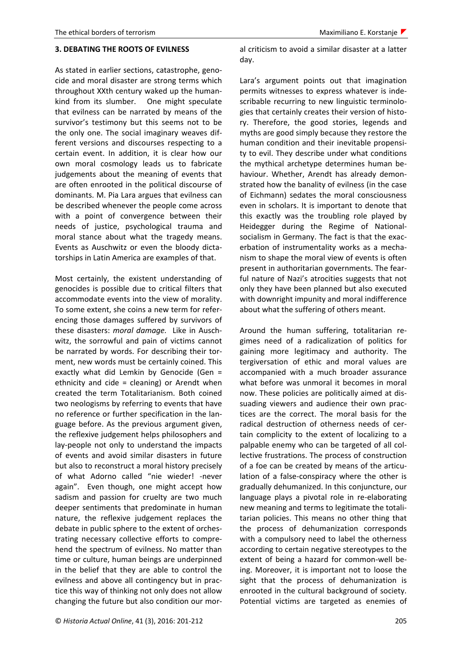### **3. DEBATING THE ROOTS OF EVILNESS**

As stated in earlier sections, catastrophe, genocide and moral disaster are strong terms which throughout XXth century waked up the humankind from its slumber. One might speculate that evilness can be narrated by means of the survivor's testimony but this seems not to be the only one. The social imaginary weaves different versions and discourses respecting to a certain event. In addition, it is clear how our own moral cosmology leads us to fabricate judgements about the meaning of events that are often enrooted in the political discourse of dominants. M. Pia Lara argues that evilness can be described whenever the people come across with a point of convergence between their needs of justice, psychological trauma and moral stance about what the tragedy means. Events as Auschwitz or even the bloody dictatorships in Latin America are examples of that.

Most certainly, the existent understanding of genocides is possible due to critical filters that accommodate events into the view of morality. To some extent, she coins a new term for referencing those damages suffered by survivors of these disasters: *moral damage.* Like in Auschwitz, the sorrowful and pain of victims cannot be narrated by words. For describing their torment, new words must be certainly coined. This exactly what did Lemkin by Genocide (Gen = ethnicity and cide = cleaning) or Arendt when created the term Totalitarianism. Both coined two neologisms by referring to events that have no reference or further specification in the language before. As the previous argument given, the reflexive judgement helps philosophers and lay-people not only to understand the impacts of events and avoid similar disasters in future but also to reconstruct a moral history precisely of what Adorno called "nie wieder! -never again". Even though, one might accept how sadism and passion for cruelty are two much deeper sentiments that predominate in human nature, the reflexive judgement replaces the debate in public sphere to the extent of orchestrating necessary collective efforts to comprehend the spectrum of evilness. No matter than time or culture, human beings are underpinned in the belief that they are able to control the evilness and above all contingency but in practice this way of thinking not only does not allow changing the future but also condition our moral criticism to avoid a similar disaster at a latter day.

Lara's argument points out that imagination permits witnesses to express whatever is indescribable recurring to new linguistic terminologies that certainly creates their version of history. Therefore, the good stories, legends and myths are good simply because they restore the human condition and their inevitable propensity to evil. They describe under what conditions the mythical archetype determines human behaviour. Whether, Arendt has already demonstrated how the banality of evilness (in the case of Eichmann) sedates the moral consciousness even in scholars. It is important to denote that this exactly was the troubling role played by Heidegger during the Regime of Nationalsocialism in Germany. The fact is that the exacerbation of instrumentality works as a mechanism to shape the moral view of events is often present in authoritarian governments. The fearful nature of Nazi's atrocities suggests that not only they have been planned but also executed with downright impunity and moral indifference about what the suffering of others meant.

Around the human suffering, totalitarian regimes need of a radicalization of politics for gaining more legitimacy and authority. The tergiversation of ethic and moral values are accompanied with a much broader assurance what before was unmoral it becomes in moral now. These policies are politically aimed at dissuading viewers and audience their own practices are the correct. The moral basis for the radical destruction of otherness needs of certain complicity to the extent of localizing to a palpable enemy who can be targeted of all collective frustrations. The process of construction of a foe can be created by means of the articulation of a false-conspiracy where the other is gradually dehumanized. In this conjuncture, our language plays a pivotal role in re-elaborating new meaning and terms to legitimate the totalitarian policies. This means no other thing that the process of dehumanization corresponds with a compulsory need to label the otherness according to certain negative stereotypes to the extent of being a hazard for common-well being. Moreover, it is important not to loose the sight that the process of dehumanization is enrooted in the cultural background of society. Potential victims are targeted as enemies of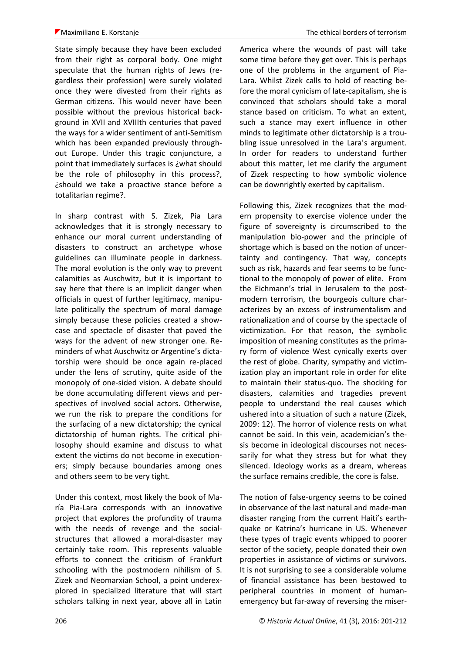State simply because they have been excluded from their right as corporal body. One might speculate that the human rights of Jews (regardless their profession) were surely violated once they were divested from their rights as German citizens. This would never have been possible without the previous historical background in XVII and XVIIIth centuries that paved the ways for a wider sentiment of anti-Semitism which has been expanded previously throughout Europe. Under this tragic conjuncture, a point that immediately surfaces is ¿what should be the role of philosophy in this process?, ¿should we take a proactive stance before a totalitarian regime?.

In sharp contrast with S. Zizek, Pia Lara acknowledges that it is strongly necessary to enhance our moral current understanding of disasters to construct an archetype whose guidelines can illuminate people in darkness. The moral evolution is the only way to prevent calamities as Auschwitz, but it is important to say here that there is an implicit danger when officials in quest of further legitimacy, manipulate politically the spectrum of moral damage simply because these policies created a showcase and spectacle of disaster that paved the ways for the advent of new stronger one. Reminders of what Auschwitz or Argentine's dictatorship were should be once again re-placed under the lens of scrutiny, quite aside of the monopoly of one-sided vision. A debate should be done accumulating different views and perspectives of involved social actors. Otherwise, we run the risk to prepare the conditions for the surfacing of a new dictatorship; the cynical dictatorship of human rights. The critical philosophy should examine and discuss to what extent the victims do not become in executioners; simply because boundaries among ones and others seem to be very tight.

Under this context, most likely the book of María Pia-Lara corresponds with an innovative project that explores the profundity of trauma with the needs of revenge and the socialstructures that allowed a moral-disaster may certainly take room. This represents valuable efforts to connect the criticism of Frankfurt schooling with the postmodern nihilism of S. Zizek and Neomarxian School, a point underexplored in specialized literature that will start scholars talking in next year, above all in Latin America where the wounds of past will take some time before they get over. This is perhaps one of the problems in the argument of Pia-Lara. Whilst Zizek calls to hold of reacting before the moral cynicism of late-capitalism, she is convinced that scholars should take a moral stance based on criticism. To what an extent, such a stance may exert influence in other minds to legitimate other dictatorship is a troubling issue unresolved in the Lara's argument. In order for readers to understand further about this matter, let me clarify the argument of Zizek respecting to how symbolic violence can be downrightly exerted by capitalism.

Following this, Zizek recognizes that the modern propensity to exercise violence under the figure of sovereignty is circumscribed to the manipulation bio-power and the principle of shortage which is based on the notion of uncertainty and contingency. That way, concepts such as risk, hazards and fear seems to be functional to the monopoly of power of elite. From the Eichmann's trial in Jerusalem to the postmodern terrorism, the bourgeois culture characterizes by an excess of instrumentalism and rationalization and of course by the spectacle of victimization. For that reason, the symbolic imposition of meaning constitutes as the primary form of violence West cynically exerts over the rest of globe. Charity, sympathy and victimization play an important role in order for elite to maintain their status-quo. The shocking for disasters, calamities and tragedies prevent people to understand the real causes which ushered into a situation of such a nature (Zizek, 2009: 12). The horror of violence rests on what cannot be said. In this vein, academician's thesis become in ideological discourses not necessarily for what they stress but for what they silenced. Ideology works as a dream, whereas the surface remains credible, the core is false.

The notion of false-urgency seems to be coined in observance of the last natural and made-man disaster ranging from the current Haiti's earthquake or Katrina's hurricane in US. Whenever these types of tragic events whipped to poorer sector of the society, people donated their own properties in assistance of victims or survivors. It is not surprising to see a considerable volume of financial assistance has been bestowed to peripheral countries in moment of humanemergency but far-away of reversing the miser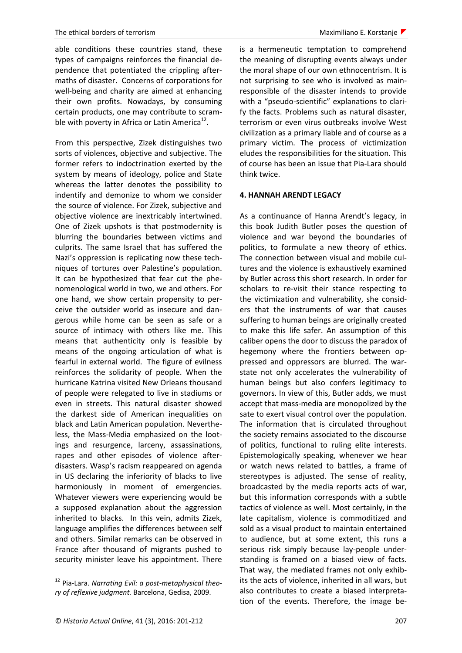able conditions these countries stand, these types of campaigns reinforces the financial dependence that potentiated the crippling aftermaths of disaster. Concerns of corporations for well-being and charity are aimed at enhancing their own profits. Nowadays, by consuming certain products, one may contribute to scramble with poverty in Africa or Latin America $^{12}$ .

From this perspective, Zizek distinguishes two sorts of violences, objective and subjective. The former refers to indoctrination exerted by the system by means of ideology, police and State whereas the latter denotes the possibility to indentify and demonize to whom we consider the source of violence. For Zizek, subjective and objective violence are inextricably intertwined. One of Zizek upshots is that postmodernity is blurring the boundaries between victims and culprits. The same Israel that has suffered the Nazi's oppression is replicating now these techniques of tortures over Palestine's population. It can be hypothesized that fear cut the phenomenological world in two, we and others. For one hand, we show certain propensity to perceive the outsider world as insecure and dangerous while home can be seen as safe or a source of intimacy with others like me. This means that authenticity only is feasible by means of the ongoing articulation of what is fearful in external world. The figure of evilness reinforces the solidarity of people. When the hurricane Katrina visited New Orleans thousand of people were relegated to live in stadiums or even in streets. This natural disaster showed the darkest side of American inequalities on black and Latin American population. Nevertheless, the Mass-Media emphasized on the lootings and resurgence, larceny, assassinations, rapes and other episodes of violence afterdisasters. Wasp's racism reappeared on agenda in US declaring the inferiority of blacks to live harmoniously in moment of emergencies. Whatever viewers were experiencing would be a supposed explanation about the aggression inherited to blacks. In this vein, admits Zizek, language amplifies the differences between self and others. Similar remarks can be observed in France after thousand of migrants pushed to security minister leave his appointment. There

1

is a hermeneutic temptation to comprehend the meaning of disrupting events always under the moral shape of our own ethnocentrism. It is not surprising to see who is involved as mainresponsible of the disaster intends to provide with a "pseudo-scientific" explanations to clarify the facts. Problems such as natural disaster, terrorism or even virus outbreaks involve West civilization as a primary liable and of course as a primary victim. The process of victimization eludes the responsibilities for the situation. This of course has been an issue that Pia-Lara should think twice.

### **4. HANNAH ARENDT LEGACY**

As a continuance of Hanna Arendt's legacy, in this book Judith Butler poses the question of violence and war beyond the boundaries of politics, to formulate a new theory of ethics. The connection between visual and mobile cultures and the violence is exhaustively examined by Butler across this short research. In order for scholars to re-visit their stance respecting to the victimization and vulnerability, she considers that the instruments of war that causes suffering to human beings are originally created to make this life safer. An assumption of this caliber opens the door to discuss the paradox of hegemony where the frontiers between oppressed and oppressors are blurred. The warstate not only accelerates the vulnerability of human beings but also confers legitimacy to governors. In view of this, Butler adds, we must accept that mass-media are monopolized by the sate to exert visual control over the population. The information that is circulated throughout the society remains associated to the discourse of politics, functional to ruling elite interests. Epistemologically speaking, whenever we hear or watch news related to battles, a frame of stereotypes is adjusted. The sense of reality, broadcasted by the media reports acts of war, but this information corresponds with a subtle tactics of violence as well. Most certainly, in the late capitalism, violence is commoditized and sold as a visual product to maintain entertained to audience, but at some extent, this runs a serious risk simply because lay-people understanding is framed on a biased view of facts. That way, the mediated frames not only exhibits the acts of violence, inherited in all wars, but also contributes to create a biased interpretation of the events. Therefore, the image be-

<sup>12</sup> Pia-Lara. *Narrating Evil: a post-metaphysical theory of reflexive judgment.* Barcelona, Gedisa, 2009.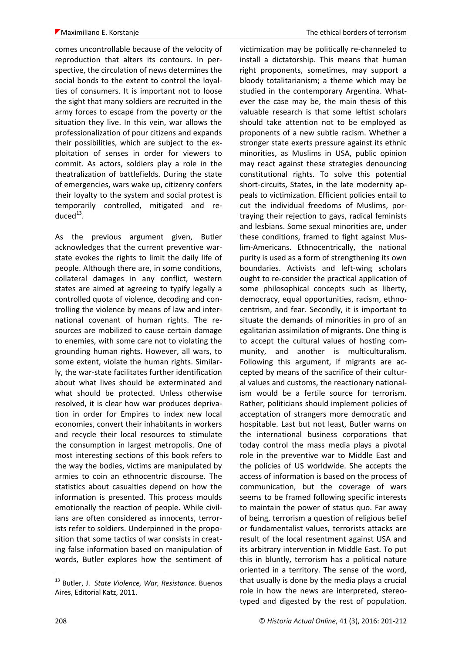comes uncontrollable because of the velocity of reproduction that alters its contours. In perspective, the circulation of news determines the social bonds to the extent to control the loyalties of consumers. It is important not to loose the sight that many soldiers are recruited in the army forces to escape from the poverty or the situation they live. In this vein, war allows the professionalization of pour citizens and expands their possibilities, which are subject to the exploitation of senses in order for viewers to commit. As actors, soldiers play a role in the theatralization of battlefields. During the state of emergencies, wars wake up, citizenry confers their loyalty to the system and social protest is temporarily controlled, mitigated and re $duced<sup>13</sup>$ .

As the previous argument given, Butler acknowledges that the current preventive warstate evokes the rights to limit the daily life of people. Although there are, in some conditions, collateral damages in any conflict, western states are aimed at agreeing to typify legally a controlled quota of violence, decoding and controlling the violence by means of law and international covenant of human rights. The resources are mobilized to cause certain damage to enemies, with some care not to violating the grounding human rights. However, all wars, to some extent, violate the human rights. Similarly, the war-state facilitates further identification about what lives should be exterminated and what should be protected. Unless otherwise resolved, it is clear how war produces deprivation in order for Empires to index new local economies, convert their inhabitants in workers and recycle their local resources to stimulate the consumption in largest metropolis. One of most interesting sections of this book refers to the way the bodies, victims are manipulated by armies to coin an ethnocentric discourse. The statistics about casualties depend on how the information is presented. This process moulds emotionally the reaction of people. While civilians are often considered as innocents, terrorists refer to soldiers. Underpinned in the proposition that some tactics of war consists in creating false information based on manipulation of words, Butler explores how the sentiment of victimization may be politically re-channeled to install a dictatorship. This means that human right proponents, sometimes, may support a bloody totalitarianism; a theme which may be studied in the contemporary Argentina. Whatever the case may be, the main thesis of this valuable research is that some leftist scholars should take attention not to be employed as proponents of a new subtle racism. Whether a stronger state exerts pressure against its ethnic minorities, as Muslims in USA, public opinion may react against these strategies denouncing constitutional rights. To solve this potential short-circuits, States, in the late modernity appeals to victimization. Efficient policies entail to cut the individual freedoms of Muslims, portraying their rejection to gays, radical feminists and lesbians. Some sexual minorities are, under these conditions, framed to fight against Muslim-Americans. Ethnocentrically, the national purity is used as a form of strengthening its own boundaries. Activists and left-wing scholars ought to re-consider the practical application of some philosophical concepts such as liberty, democracy, equal opportunities, racism, ethnocentrism, and fear. Secondly, it is important to situate the demands of minorities in pro of an egalitarian assimilation of migrants. One thing is to accept the cultural values of hosting community, and another is multiculturalism. Following this argument, if migrants are accepted by means of the sacrifice of their cultural values and customs, the reactionary nationalism would be a fertile source for terrorism. Rather, politicians should implement policies of acceptation of strangers more democratic and hospitable. Last but not least, Butler warns on the international business corporations that today control the mass media plays a pivotal role in the preventive war to Middle East and the policies of US worldwide. She accepts the access of information is based on the process of communication, but the coverage of wars seems to be framed following specific interests to maintain the power of status quo. Far away of being, terrorism a question of religious belief or fundamentalist values, terrorists attacks are result of the local resentment against USA and its arbitrary intervention in Middle East. To put this in bluntly, terrorism has a political nature oriented in a territory. The sense of the word, that usually is done by the media plays a crucial role in how the news are interpreted, stereotyped and digested by the rest of population.

<sup>13</sup> Butler, J. *State Violence, War, Resistance.* Buenos Aires, Editorial Katz, 2011.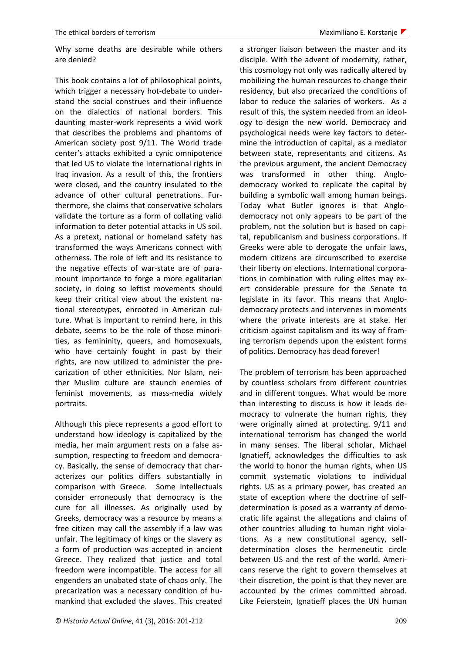Why some deaths are desirable while others are denied?

This book contains a lot of philosophical points, which trigger a necessary hot-debate to understand the social construes and their influence on the dialectics of national borders. This daunting master-work represents a vivid work that describes the problems and phantoms of American society post 9/11. The World trade center's attacks exhibited a cynic omnipotence that led US to violate the international rights in Iraq invasion. As a result of this, the frontiers were closed, and the country insulated to the advance of other cultural penetrations. Furthermore, she claims that conservative scholars validate the torture as a form of collating valid information to deter potential attacks in US soil. As a pretext, national or homeland safety has transformed the ways Americans connect with otherness. The role of left and its resistance to the negative effects of war-state are of paramount importance to forge a more egalitarian society, in doing so leftist movements should keep their critical view about the existent national stereotypes, enrooted in American culture. What is important to remind here, in this debate, seems to be the role of those minorities, as femininity, queers, and homosexuals, who have certainly fought in past by their rights, are now utilized to administer the precarization of other ethnicities. Nor Islam, neither Muslim culture are staunch enemies of feminist movements, as mass-media widely portraits.

Although this piece represents a good effort to understand how ideology is capitalized by the media, her main argument rests on a false assumption, respecting to freedom and democracy. Basically, the sense of democracy that characterizes our politics differs substantially in comparison with Greece. Some intellectuals consider erroneously that democracy is the cure for all illnesses. As originally used by Greeks, democracy was a resource by means a free citizen may call the assembly if a law was unfair. The legitimacy of kings or the slavery as a form of production was accepted in ancient Greece. They realized that justice and total freedom were incompatible. The access for all engenders an unabated state of chaos only. The precarization was a necessary condition of humankind that excluded the slaves. This created

a stronger liaison between the master and its disciple. With the advent of modernity, rather, this cosmology not only was radically altered by mobilizing the human resources to change their residency, but also precarized the conditions of labor to reduce the salaries of workers. As a result of this, the system needed from an ideology to design the new world. Democracy and psychological needs were key factors to determine the introduction of capital, as a mediator between state, representants and citizens. As the previous argument, the ancient Democracy was transformed in other thing. Anglodemocracy worked to replicate the capital by building a symbolic wall among human beings. Today what Butler ignores is that Anglodemocracy not only appears to be part of the problem, not the solution but is based on capital, republicanism and business corporations. If Greeks were able to derogate the unfair laws, modern citizens are circumscribed to exercise their liberty on elections. International corporations in combination with ruling elites may exert considerable pressure for the Senate to legislate in its favor. This means that Anglodemocracy protects and intervenes in moments where the private interests are at stake. Her criticism against capitalism and its way of framing terrorism depends upon the existent forms of politics. Democracy has dead forever!

The problem of terrorism has been approached by countless scholars from different countries and in different tongues. What would be more than interesting to discuss is how it leads democracy to vulnerate the human rights, they were originally aimed at protecting. 9/11 and international terrorism has changed the world in many senses. The liberal scholar, Michael Ignatieff, acknowledges the difficulties to ask the world to honor the human rights, when US commit systematic violations to individual rights. US as a primary power, has created an state of exception where the doctrine of selfdetermination is posed as a warranty of democratic life against the allegations and claims of other countries alluding to human right violations. As a new constitutional agency, selfdetermination closes the hermeneutic circle between US and the rest of the world. Americans reserve the right to govern themselves at their discretion, the point is that they never are accounted by the crimes committed abroad. Like Feierstein, Ignatieff places the UN human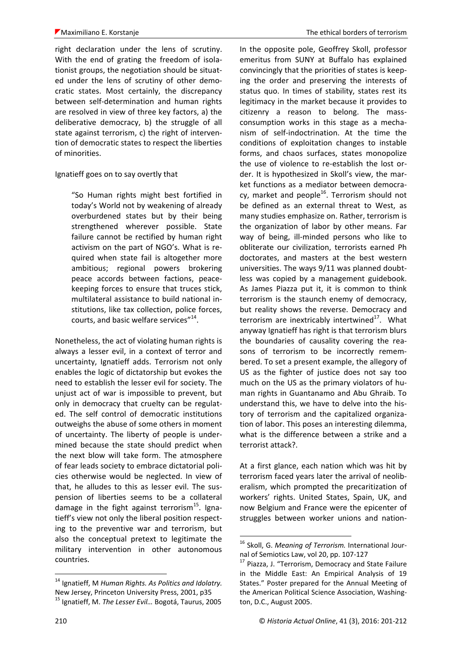right declaration under the lens of scrutiny. With the end of grating the freedom of isolationist groups, the negotiation should be situated under the lens of scrutiny of other democratic states. Most certainly, the discrepancy between self-determination and human rights are resolved in view of three key factors, a) the deliberative democracy, b) the struggle of all state against terrorism, c) the right of intervention of democratic states to respect the liberties of minorities.

Ignatieff goes on to say overtly that

"So Human rights might best fortified in today's World not by weakening of already overburdened states but by their being strengthened wherever possible. State failure cannot be rectified by human right activism on the part of NGO's. What is required when state fail is altogether more ambitious; regional powers brokering peace accords between factions, peacekeeping forces to ensure that truces stick, multilateral assistance to build national institutions, like tax collection, police forces, courts, and basic welfare services"<sup>14</sup>.

Nonetheless, the act of violating human rights is always a lesser evil, in a context of terror and uncertainty, Ignatieff adds. Terrorism not only enables the logic of dictatorship but evokes the need to establish the lesser evil for society. The unjust act of war is impossible to prevent, but only in democracy that cruelty can be regulated. The self control of democratic institutions outweighs the abuse of some others in moment of uncertainty. The liberty of people is undermined because the state should predict when the next blow will take form. The atmosphere of fear leads society to embrace dictatorial policies otherwise would be neglected. In view of that, he alludes to this as lesser evil. The suspension of liberties seems to be a collateral damage in the fight against terrorism<sup>15</sup>. Ignatieff's view not only the liberal position respecting to the preventive war and terrorism, but also the conceptual pretext to legitimate the military intervention in other autonomous countries.

In the opposite pole, Geoffrey Skoll, professor emeritus from SUNY at Buffalo has explained convincingly that the priorities of states is keeping the order and preserving the interests of status quo. In times of stability, states rest its legitimacy in the market because it provides to citizenry a reason to belong. The massconsumption works in this stage as a mechanism of self-indoctrination. At the time the conditions of exploitation changes to instable forms, and chaos surfaces, states monopolize the use of violence to re-establish the lost order. It is hypothesized in Skoll's view, the market functions as a mediator between democracy, market and people $^{16}$ . Terrorism should not be defined as an external threat to West, as many studies emphasize on. Rather, terrorism is the organization of labor by other means. Far way of being, ill-minded persons who like to obliterate our civilization, terrorists earned Ph doctorates, and masters at the best western universities. The ways 9/11 was planned doubtless was copied by a management guidebook. As James Piazza put it, it is common to think terrorism is the staunch enemy of democracy, but reality shows the reverse. Democracy and terrorism are inextricably intertwined<sup>17</sup>. What anyway Ignatieff has right is that terrorism blurs the boundaries of causality covering the reasons of terrorism to be incorrectly remembered. To set a present example, the allegory of US as the fighter of justice does not say too much on the US as the primary violators of human rights in Guantanamo and Abu Ghraib. To understand this, we have to delve into the history of terrorism and the capitalized organization of labor. This poses an interesting dilemma, what is the difference between a strike and a terrorist attack?.

At a first glance, each nation which was hit by terrorism faced years later the arrival of neoliberalism, which prompted the precaritization of workers' rights. United States, Spain, UK, and now Belgium and France were the epicenter of struggles between worker unions and nation-

1

<sup>14</sup> Ignatieff, M *Human Rights. As Politics and Idolatry.*  New Jersey, Princeton University Press, 2001, p35

<sup>15</sup> Ignatieff, M. *The Lesser Evil…* Bogotá, Taurus, 2005

<sup>16</sup> Skoll, G. *Meaning of Terrorism.* International Journal of Semiotics Law, vol 20, pp. 107-127

<sup>&</sup>lt;sup>17</sup> Piazza, J. "Terrorism, Democracy and State Failure in the Middle East: An Empirical Analysis of 19 States." Poster prepared for the Annual Meeting of the American Political Science Association, Washington, D.C., August 2005.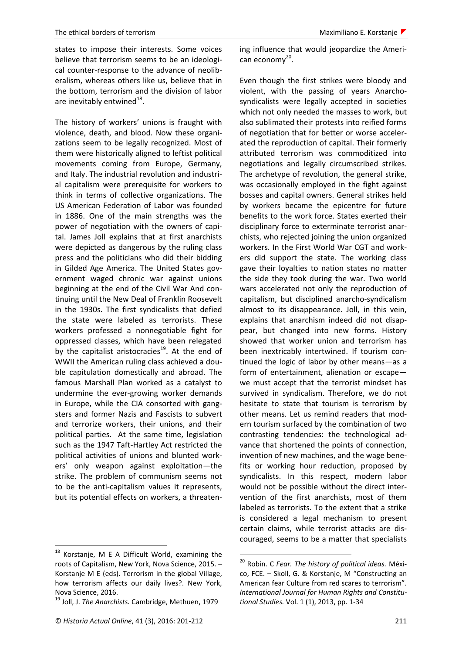states to impose their interests. Some voices believe that terrorism seems to be an ideological counter-response to the advance of neoliberalism, whereas others like us, believe that in the bottom, terrorism and the division of labor are inevitably entwined<sup>18</sup>.

The history of workers' unions is fraught with violence, death, and blood. Now these organizations seem to be legally recognized. Most of them were historically aligned to leftist political movements coming from Europe, Germany, and Italy. The industrial revolution and industrial capitalism were prerequisite for workers to think in terms of collective organizations. The US American Federation of Labor was founded in 1886. One of the main strengths was the power of negotiation with the owners of capital. James Joll explains that at first anarchists were depicted as dangerous by the ruling class press and the politicians who did their bidding in Gilded Age America. The United States government waged chronic war against unions beginning at the end of the Civil War And continuing until the New Deal of Franklin Roosevelt in the 1930s. The first syndicalists that defied the state were labeled as terrorists. These workers professed a nonnegotiable fight for oppressed classes, which have been relegated by the capitalist aristocracies<sup>19</sup>. At the end of WWII the American ruling class achieved a double capitulation domestically and abroad. The famous Marshall Plan worked as a catalyst to undermine the ever-growing worker demands in Europe, while the CIA consorted with gangsters and former Nazis and Fascists to subvert and terrorize workers, their unions, and their political parties. At the same time, legislation such as the 1947 Taft-Hartley Act restricted the political activities of unions and blunted workers' only weapon against exploitation—the strike. The problem of communism seems not to be the anti-capitalism values it represents, but its potential effects on workers, a threaten-

1

ing influence that would jeopardize the American economy<sup>20</sup>.

Even though the first strikes were bloody and violent, with the passing of years Anarchosyndicalists were legally accepted in societies which not only needed the masses to work, but also sublimated their protests into reified forms of negotiation that for better or worse accelerated the reproduction of capital. Their formerly attributed terrorism was commoditized into negotiations and legally circumscribed strikes. The archetype of revolution, the general strike, was occasionally employed in the fight against bosses and capital owners. General strikes held by workers became the epicentre for future benefits to the work force. States exerted their disciplinary force to exterminate terrorist anarchists, who rejected joining the union organized workers. In the First World War CGT and workers did support the state. The working class gave their loyalties to nation states no matter the side they took during the war. Two world wars accelerated not only the reproduction of capitalism, but disciplined anarcho-syndicalism almost to its disappearance. Joll, in this vein, explains that anarchism indeed did not disappear, but changed into new forms. History showed that worker union and terrorism has been inextricably intertwined. If tourism continued the logic of labor by other means—as a form of entertainment, alienation or escape we must accept that the terrorist mindset has survived in syndicalism. Therefore, we do not hesitate to state that tourism is terrorism by other means. Let us remind readers that modern tourism surfaced by the combination of two contrasting tendencies: the technological advance that shortened the points of connection, invention of new machines, and the wage benefits or working hour reduction, proposed by syndicalists. In this respect, modern labor would not be possible without the direct intervention of the first anarchists, most of them labeled as terrorists. To the extent that a strike is considered a legal mechanism to present certain claims, while terrorist attacks are discouraged, seems to be a matter that specialists

<sup>&</sup>lt;sup>18</sup> Korstanje, M E A Difficult World, examining the roots of Capitalism, New York, Nova Science, 2015. – Korstanje M E (eds). Terrorism in the global Village, how terrorism affects our daily lives?. New York, Nova Science, 2016.

<sup>19</sup> Joll, J. *The Anarchists.* Cambridge, Methuen, 1979

<sup>20</sup> Robin. C *Fear. The history of political ideas.* México, FCE. – Skoll, G. & Korstanje, M "Constructing an American fear Culture from red scares to terrorism". *International Journal for Human Rights and Constitutional Studies.* Vol. 1 (1), 2013, pp. 1-34